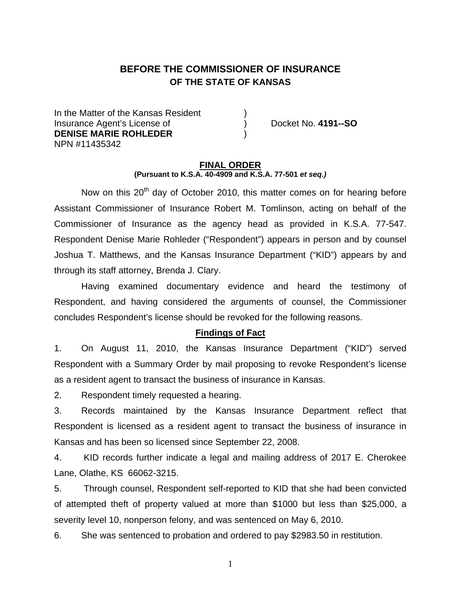# **BEFORE THE COMMISSIONER OF INSURANCE OF THE STATE OF KANSAS**

In the Matter of the Kansas Resident Insurance Agent's License of ) Docket No. **4191--SO DENISE MARIE ROHLEDER** ) NPN #11435342

#### **FINAL ORDER (Pursuant to K.S.A. 40-4909 and K.S.A. 77-501** *et seq.)*

Now on this  $20<sup>th</sup>$  day of October 2010, this matter comes on for hearing before Assistant Commissioner of Insurance Robert M. Tomlinson, acting on behalf of the Commissioner of Insurance as the agency head as provided in K.S.A. 77-547. Respondent Denise Marie Rohleder ("Respondent") appears in person and by counsel Joshua T. Matthews, and the Kansas Insurance Department ("KID") appears by and through its staff attorney, Brenda J. Clary.

 Having examined documentary evidence and heard the testimony of Respondent, and having considered the arguments of counsel, the Commissioner concludes Respondent's license should be revoked for the following reasons.

### **Findings of Fact**

1. On August 11, 2010, the Kansas Insurance Department ("KID") served Respondent with a Summary Order by mail proposing to revoke Respondent's license as a resident agent to transact the business of insurance in Kansas.

2. Respondent timely requested a hearing.

3. Records maintained by the Kansas Insurance Department reflect that Respondent is licensed as a resident agent to transact the business of insurance in Kansas and has been so licensed since September 22, 2008.

4. KID records further indicate a legal and mailing address of 2017 E. Cherokee Lane, Olathe, KS 66062-3215.

5. Through counsel, Respondent self-reported to KID that she had been convicted of attempted theft of property valued at more than \$1000 but less than \$25,000, a severity level 10, nonperson felony, and was sentenced on May 6, 2010.

6. She was sentenced to probation and ordered to pay \$2983.50 in restitution.

1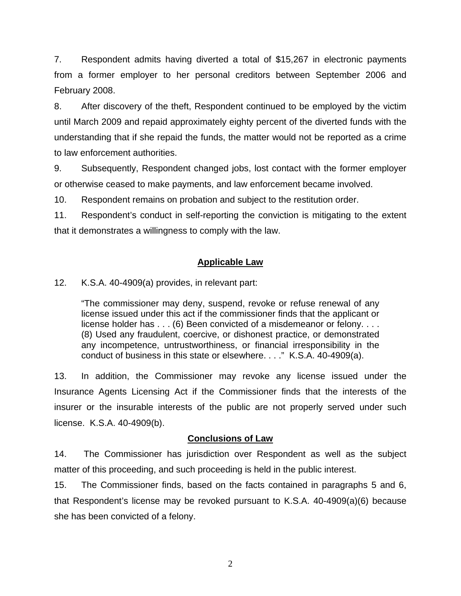7. Respondent admits having diverted a total of \$15,267 in electronic payments from a former employer to her personal creditors between September 2006 and February 2008.

8. After discovery of the theft, Respondent continued to be employed by the victim until March 2009 and repaid approximately eighty percent of the diverted funds with the understanding that if she repaid the funds, the matter would not be reported as a crime to law enforcement authorities.

9. Subsequently, Respondent changed jobs, lost contact with the former employer or otherwise ceased to make payments, and law enforcement became involved.

10. Respondent remains on probation and subject to the restitution order.

11. Respondent's conduct in self-reporting the conviction is mitigating to the extent that it demonstrates a willingness to comply with the law.

# **Applicable Law**

12. K.S.A. 40-4909(a) provides, in relevant part:

"The commissioner may deny, suspend, revoke or refuse renewal of any license issued under this act if the commissioner finds that the applicant or license holder has . . . (6) Been convicted of a misdemeanor or felony. . . . (8) Used any fraudulent, coercive, or dishonest practice, or demonstrated any incompetence, untrustworthiness, or financial irresponsibility in the conduct of business in this state or elsewhere. . . ." K.S.A. 40-4909(a).

13. In addition, the Commissioner may revoke any license issued under the Insurance Agents Licensing Act if the Commissioner finds that the interests of the insurer or the insurable interests of the public are not properly served under such license. K.S.A. 40-4909(b).

## **Conclusions of Law**

14. The Commissioner has jurisdiction over Respondent as well as the subject matter of this proceeding, and such proceeding is held in the public interest.

15. The Commissioner finds, based on the facts contained in paragraphs 5 and 6, that Respondent's license may be revoked pursuant to K.S.A. 40-4909(a)(6) because she has been convicted of a felony.

2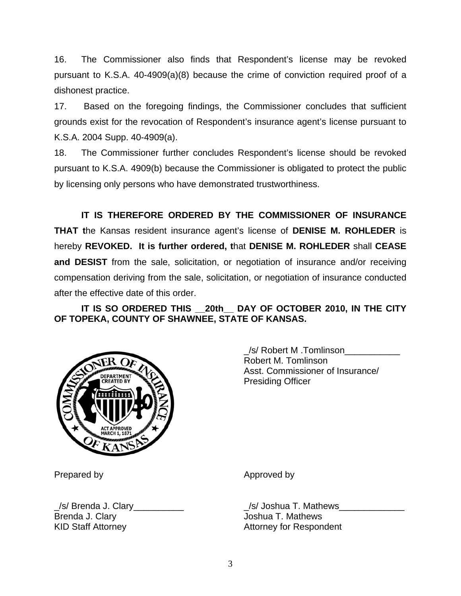16. The Commissioner also finds that Respondent's license may be revoked pursuant to K.S.A. 40-4909(a)(8) because the crime of conviction required proof of a dishonest practice.

17. Based on the foregoing findings, the Commissioner concludes that sufficient grounds exist for the revocation of Respondent's insurance agent's license pursuant to K.S.A. 2004 Supp. 40-4909(a).

18. The Commissioner further concludes Respondent's license should be revoked pursuant to K.S.A. 4909(b) because the Commissioner is obligated to protect the public by licensing only persons who have demonstrated trustworthiness.

 **IT IS THEREFORE ORDERED BY THE COMMISSIONER OF INSURANCE THAT t**he Kansas resident insurance agent's license of **DENISE M. ROHLEDER** is hereby **REVOKED. It is further ordered, t**hat **DENISE M. ROHLEDER** shall **CEASE and DESIST** from the sale, solicitation, or negotiation of insurance and/or receiving compensation deriving from the sale, solicitation, or negotiation of insurance conducted after the effective date of this order.

# **IT IS SO ORDERED THIS \_\_20th\_\_ DAY OF OCTOBER 2010, IN THE CITY OF TOPEKA, COUNTY OF SHAWNEE, STATE OF KANSAS.**



 \_/s/ Robert M .Tomlinson\_\_\_\_\_\_\_\_\_\_\_ Robert M. Tomlinson Asst. Commissioner of Insurance/ Presiding Officer

/s/ Brenda J. Clary the same of the set of the set of the set of the set of the set of the set of the set of t Brenda J. Clary **Granda** School and T. Mathews

Prepared by Approved by Approved by Approved by Approved by Approved by Approved by Approved by Approved by Approved by Approved by Approved by Approved by Approved by Approved by Approved by Approved by Approved by Approv

KID Staff Attorney Mattorney Attorney for Respondent